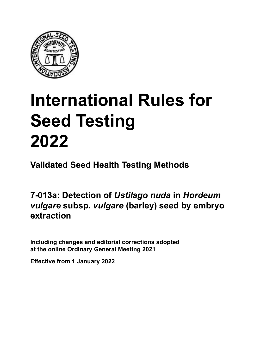

# **International Rules for Seed Testing von Saatgut 2022 2022 Semences 2022 International Rules for Seed Testing 2022**

**Métodos Validados para Análisis de Sanidad de Semillas Validate Méthodes Validées pour Analyse Sanitaire des Semences Validated Seed Health Testing Methods**

7-013a: Detection of *Ustilago nuda* in *Hordeum* vulgare subsp. vulgare (barley) seed by embryo **subsp.** *vulgare* **(cebada) durch Embryo-Extraktion méthode d'extraction d'embryons extraction**

Including changes and editorial corrections adopted at the online Ordinary General Meeting 2021

**Effective from 1 January 2022**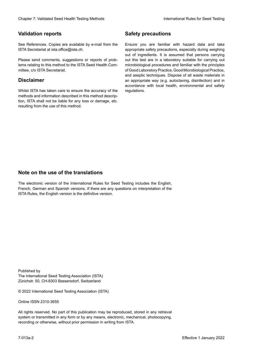## **Validation reports**

See References. Copies are available by e-mail from the<br>ISTA Secretariat at ista.office@ista.ch. ISTA Secretariat at ista.office@ista.ch.

lems relating to this method to the ISTA Seed Health Com-<br>mittee, c/o ISTA Secretariat. mittee, c/o ISTA Secretariat.<br>i Please send comments, suggestions or reports of prob-

# **Limitation de responsabilité Disclaimer**

Whilst ISTA has taken care to ensure the accuracy of the<br>methods and information described in this method description, ISTA shall not be liable for any loss or damage, etc.<br>resulting from the use of this method.<br>. resulting from the use of this method. Whilst ISTA has taken care to ensure the accuracy of the methods and information described in this method descrip-<br>tion, ISTA shall not be liable for any loss or damage, etc. tion, ISTA shall not be liable for any loss or damage, etc.<br>resulting from the use of this method.

# **Medidas de seguridad Sicherheitsmaßnahmen Sécurité Safety precautions**

Ensure you are familiar with hazard data and take Ensure you are familiar with hazard data and take<br>appropriate safety precautions, especially during weighing out of ingredients. It is assumed that persons carrying out this test are in a laboratory suitable for carrying out microbiological procedures and familiar with the principles of Good Laboratory Practice, Good Microbiological Practice, and aseptic techniques. Dispose of all waste materials in an appropriate way (e.g. autoclaving, disinfection) and in accordance with local health, environmental and safety regulations. Glade in 2. Validated Deed Health Testing holes by Safety precentions and the Sacrifice Control of the Control of the Control of the Control of the Control of the Control of the Control of the Control of the Control of the microbiological procedures and familiar with the principles<br>of Good Laboratory Practice, Good Microbiological Practice,<br>and aseptic techniques. Dispose of all waste materials in<br>an appropriate way (e.g. autoclaving, disinf fallstoffe sind auf geeignete Weise und entsprechend der vor Ort über der vor Ort über und Umwelt- und Umwelt-<br>Eine und Umwelt-Effective Counter of Nicolastic Counter of Nicolastic Counter of Nicolastic Counter of Nicolastic Counter Méthodes validations of the Counter Méthodes validations of the Counter of Nicolastic Counter Méthodes validations o of Good Laboratory Practice, Good Microbiological Practice,<br>and aseptic techniques. Dispose of all waste materials in<br>an appropriate way (e.g. autoclaving, disinfection) and in Validation reports<br>
Since The Texture 1988 and the system of the Since Theorem and the Since Theorem and the system of the Since The Since The Since The Since The Since The Since The Since The Since The Since The Since The Ensure you are familiar with hazard data and take<br>appropriate safety precautions, especially during weighing<br>out of ingredients. It is assumed that persons carrying<br>out this test are in a laboratory suitable for carrying o

# **Nota sobre el uso de traducciones Anmerkung zur Benutzung der Übersetzungen Note on the use of the translations**

The electronic version of the International Rules for Seed Testing includes the English, French, German and Spanish versions. If there are any questions on interpretation of the ISTA Rules, the English version is the definitive version. The electronic version of the International Rules for Seed Testing includes the English,<br>French, German and Spanish versions. If there are any questions on interpretation of the<br>ISTA Rules, the English version is the defin The electronic version of the International Rules for Seed Testing includes the English,<br>French, German and Spanish versions. If there are any questions on interpretation of the

Published by **Extending Association (ISTA)** The International Seed Testing Association (ISTA) Zürichstr. 50, CH-8303 Bassersdorf, Switzerland

© 2022 International Seed Testing Association (ISTA)

Alle Rechte vorbehalten. Kein Teil dieses Werkes darf in irgendwelcher Form oder durch Online ISSN 2310-3655

All rights reserved. No part of this publication may be reproduced, stored in any retrieval All rights reserved. No part of this publication may be reproduced, stored in any retrieval<br>system or transmitted in any form or by any means, electronic, mechanical, photocopying,<br>recording or otherwise, without prior per recording or otherwise, without prior permis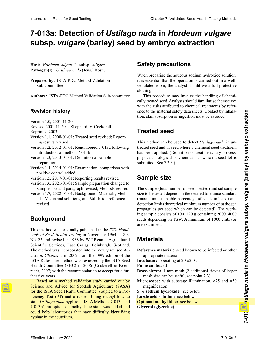# 7-013a: Detection of *Ustilago nuda* in *Hordeum vulgare* subsp. *vulgare* (barley) seed by embryo extraction

**Host:** *Hordeum vulgare* L. subsp. *vulgare* **Pathogen(s):** *Ustilago nuda* (Jens.) Rostr.

**Prepared by: ISTA-PDC Method Validation** Sub-committee

Authors: ISTA-PDC Method Validation Sub-committee

# **Revision history**

**Historial de revisiones Revisionsstand** Version 1.0, 2001-11-20

- Revised 2001-11-20 J. Sheppard, V. Cockerell
- Reprinted 2003
- Reprinted 2003<br>Version 1.1, 2008-01-01: Treated seed revised; Reporting results revised
- Version 1.2, 2012-01-01: Renumbered 7-013a following introduction of method 7-013b

Version 1.3, 2013-01-01: Definition of sample preparation 1.3, 2013-01-01: Definition des Probenumienses preparation de 7-013 à 7-013 à 7-013 à 7-013 à 7-01

- Version 1.4, 2014-01-01: Examination: comparison with positive control added
- Version 1.5, 2017-01-01: Reporting results revised

Version 1.6, 2021-01-01: Sample preparation changed to Sample size and paragraph revised; Methods revised

Version 1.7, 2022-01-01: Background, Materials, Methods, Media and solutions, and Validation references revised » révised revised and  $\mathcal{M}$ , "Methoden und Lösun-

### dos, Medios y soluciones, y Referencias de validación **Background Hintergrund** « Méthodes », « Méthodes » et « Etudes de « Etudes de « Etudes de « Etudes de « Etudes de « Etudes de « Etudes

book of Seed Health Testing in November 1964 as S.3. Scientific Services, East Craigs, Edinburgh, Scotland. Scientific Services, East Craigs, Edinburgh, Scotland.<br>The method was incorporated into the newly revised An-The method was incorporated into the newly revised  $An$ -<br>nexe to Chapter 7 in 2002 from the 1999 edition of the ISTA Rules. The method was reviewed by the ISTA Seed Health Committee (SHC) in 2006 (Cockerell & Koenraadt, 2007) with the recommendation to accept for a further five years. No. 25 and revised in 1988 by W J Rennie, Agricultural ISTA Rules. The method was reviewed by the ISTA Seed<br>Health Committee (SHC) in 2006 (Cockerell & Koen-<br>raadt, 2007) with the recommendation to accept for a fur-<br>ther five years.<br>**Based on a method validation study carried** This method was originally published in the *ISTA Hand*raadt, 2007) with the recommendation to accept for a fur-

Based on a method validation study carried out by Science and Advice for Scottish Agriculture (SASA) Based on a method validation study carried out by<br>Science and Advice for Scottish Agriculture (SASA)<br>for the ISTA Seed Health Committee, coupled to a Proficiency Test (PT) and a report 'Using methyl blue to ficiency Test (PT) and a report 'Using methyl blue to<br>stain *Ustilago nuda* hyphae in ISTA Methods 7-013a and 7-013b', an option of methyl blue stain was added and 7-013b', an option of methyl blue stain was added and could help laboratories that have difficulty identifying **Statistical hyphae in the scutellum.** The statistical methods 7-013a and 7-013a and 7-013a and 7-013a and 7-013a and 7-013a and 7-013a and 7-013a and 7-013a and 7-013a and 7-013a and 7-013a and 7-013a and 7-013a and 7-013

# **Safety precautions**

When preparing the aqueous sodium hydroxide solution, it is essential that the operation is carried out in a wellventilated room; the analyst should wear full protective clothing.

This procedure may involve the handling of chemiwith the risks attributed to chemical treatments by reference to the material safety data sheets. Contact by inhalation, skin absorption or ingestion must be avoided.<br> cally treated seed. Analysts should familiarise themselves

### Este procedimiento puede implicar el manejo de semi-**Treated seed** sprechenden Sicherheitsdatenblätter der verwendeten Ce procédé peut comporter la manipulation de se-

This method can be used to detect *Ustilago nuda* in untreated seed and in seed where a chemical seed treatment treated seed and in seed where a chemical seed treatment<br>has been applied. (Definition of treatment: any process, **Semilla tratada** physical, biological or chemical, to which a seed lot is **Semences traitées** submitted. See 7.2.3.)

### Este método puede ser usado para la detección de Ustilago wendet werden. (Definition "Behandlung": jegliches Ver-Cette méthode peut être employée pour détecter *Ustilago* **Sample size** unbehandeltem und behandeltem (gebeiztem) Saatgut ver-

The sample (total number of seeds tested) and subsample size to be tested depend on the desired tolerance standard (maximum acceptable percentage of seeds infested) and **Tamaño de la muestra** ing sample consists of 100–120 g containing 2000–4000 are examined. propagules per seed which can be detected). The workseeds depending on TSW. A minimum of 1000 embryos detection limit (theoretical minimum number of pathogen The sample (total number of seeds tested) and subsample size to be tested depend on the desired tolerance standard (maximum acceptable percentage of seeds infested) and detection limit (theoretical minimum number of pathogen

### tolerancia estándar deseada (porcentaje máximo aceptable de semillas infektive detection (número einheiten pro *Materials*) y detection en einheiten ein einheiten pro *Materials* zentsatz der befallenen Samen) und der Nachweisgrenze tées) et la taille des sous-échantillons à tester des sous-échantillons à tester de semences infestées (pour<br>Limite de semences infestées infestées infestées) et de la limite de semences infestées infestées infestées i

**Reference material:** seed known to be infected or other<br>appropriate material appropriate material semillas, dependienten. Es werden mindestens 1000 semi-**Incubator:** operating at  $20 \pm 2$  °C mesh size can be useful; see point 2.3) magnification **5** % sodium hydroxide: see below **Lactic acid solution:** see below **Solution:** see below **Optional methyl blue:** see below **Maschenge:** 1 mm  $\alpha$  **Glycerine**) **Prepared by:** ISTA-PIX: Mediod Validation with semi-algebraic distortion is because solution of the Single state of the main semi-algebraic distortion in the same state of the main semi-algebraic distortion in the semi-a **Prepared by:** ISTA-PIX: Mediod Validation<br>
3 We preparate the special that the special in African Measure Societies<br>
3 (also contribute Social Validation Sub-correction<br>
3 (also contribute Social Validation Sub-correctio 2000 à 4000 semences selon la MMS. Un minimum de **Fume cupboard** Brass sieves: 1 mm mesh (2 additional sieves of larger International Rules for Seed Testing Chapter 2: Units and Contact Testing Chapter 1: Validated Seed Testing Chapter 2: Validated Chapter 2: Validated Chapter 2: Validated Chapter 2: Validated Validated Seed Health Testing **Microscope:** with substage illumination, **×**25 and **×**50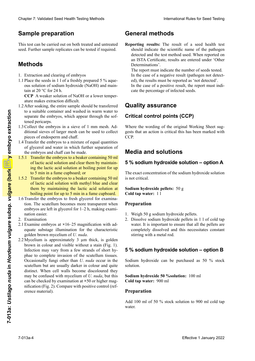# **Microscopio:** con iluminación proveniente desde debajo **5 % Natriumhydroxid-Lösung:** siehe unten **Microscope :** avec éclairage par le dessous, **×**25 et **×**50 **Sample preparation**

This test can be carried out on both treated and untreated seed. Further sample replicates can be tested if required.

### **Glicerol (glicerina) Probenvorbereitung Methods**

- 1. Extraction and clearing of embryos
- ous solution of sodium hydroxide (NaOH) and maintain at 20  $\rm{^{\circ}C}$  for 24 h. 1.1 Place the seeds in 1 l of a freshly prepared 5 % aque-

**CCP** A weaker solution of NaOH or a lower temperature makes extraction difficult.

- to a suitable container and washed in warm water to tened pericarps. separate the embryos, which appear through the sof-1.2 After soaking, the entire sample should be transferred
- tened pericarps.<br>1.3 Collect the embryos in a sieve of 1 mm mesh. Additional sieves of larger mesh can be used to collect pieces of endosperm and chaff.
- 1.4 Transfer the embryos to a mixture of equal quantities 1.4 Transfer the embryos to a mixture of equal quantities<br>of glycerol and water in which further separation of<br>the embryos and chaff can be made. the embryos and chaff can be made.
- 1.5.1 Transfer the embryos to a beaker containing  $50$  ml of lactic acid solution and clear them by maintaining the lactic acid solution at boiling point for up to 5 min in a fume cupboard; or  $1.3$  Recolection in tax functiones en un taminate  $1.3$  Records and malla de  $1.3$  Records and  $1.3$  Records and  $1.3$  Records and  $1.3$  Records and  $1.3$  Records and  $1.3$  Records and  $1.3$  Records and  $1.3$  Records and 1.5.1 Transfer the embryos to a beaker containing 50 ml<br>of lactic acid solution and clear them by maintain-<br>ing the lactic acid solution at boiling point for up the embryos and chaff can be made.<br>1.5.1 Transfer the embryos to a beaker containing 50 ml<br>of lactic acid solution and clear them by maintain-
- to 5 min in a fume cupboard; or<br>1.5.2 Transfer the embryos to a beaker containing 50 ml of lactic acid solution with methyl blue and clear them by maintaining the lactic acid solution at them by maintaining the lactic acid solution at boiling point for up to 5 min in a fume cupboard.
- boiling point for up to 5 min in a fume cupboard.<br>1.6 Transfer the embryos to fresh glycerol for examination. The scutellum becomes more transparent when embryos are left in glycerol for 1–2 h, making exami-<br>nation easier. nation easier. tion. The scutellum becomes more transparent when<br>embryos are left in glycerol for  $1-2$  h, making exami-<br>nation easier.<br>2. Examination<br>2.1 Examine embryos at  $\times 16-25$  magnification with ad-
- 2. Examination
- equate substage illumination for the characteristic golden brown mycelium of U. nuda. golden brown mycelium of *U. nuda*.
- $2.2$  Mycelium is approximately 3  $\mu$ m thick, is golden brown in colour and visible without a stain (Fig. 1). equate substage illumination for the characteristic<br>golden brown mycelium of U. *nuda*.<br>2.2 Mycelium is approximately 3  $\mu$ m thick, is golden<br>brown in colour and visible without a stain (Fig. 1).<br>Infection may vary from phae to complete invasion of the scutellum tissues. phae to complete invasion of the scutellum tissues.<br>Occasionally fungi other than *U. nuda* occur in the<br>scutellum but are usually darker in colour and quite scutellum but are usually darker in colour and quite scutellum but are usually darker in colour and quite distinct. When cell walls become discoloured they distinct. When cell walls become discoloured they may be confused with mycelium of  $U$ . *nuda*, but this can be checked by examination at **×**50 or higher magnification (Fig. 2). Compare with positive control (reference material). erence material). CUR A restate of the control of the transition of the control of the same of the same of the control of the same of the same of the same of the control of the same of the same of the same of the control of the same of the **Enter the computer of the state of the state of the state of the state of the pulsar state of the state of the state of the state of the state of the state of the state of the state of the state of the state of the state** Chevar 7 Validian's searlined in the basic control in the basic internal fixed for the Tault of the Barnet Chevar Chevar Chevar Chevar Chevar Chevar Chevar Chevar Chevar Chevar Chevar Chevar Chevar Chevar Chevar Chevar Ch **EVALUATE AND CONTROL INTERNATIONAL ENERGY CONTROL INTERNATIONAL CONTROL CONTROL CONTROL CONTROL CONTROL CONTROL CONTROL CONTROL CONTROL CONTROL CONTROL CONTROL CONTROL CONTROL CONTROL CONTROL CONTROL CONTROL CONTROL CONT** Equivale container in which is a smaller container in the signal state in the signal Working Sheet measure of the material state of the material state of the material state of the material state of the container of the st

# de *U. nuda* se presentan en el escutelo, pero general-**General methods**

Reporting results: The result of a seed health test should indicate the scientific name of the pathogen detected and the test method used. When reported on an ISTA Certificate, results are entered under 'Other Determinations'. porting results: The result of a seed health test should indicate the scientific name of the pathogen detected and the test method used. When reported on should indicate the scientific name of the pathogen

ed), the results must be reported as 'not detected'. cate the percentage of infected seeds. The report must indicate the number of seeds tested. In the case of a negative result (pathogen not detect-In the case of a positive result, the report must indi-

#### del patógeno detectado y el método de análisis usado. **Quality assurance** minations» dans le Bulletin ISTA.

# Critical control points (CCP)

Where the wording of the original Working Sheet suggests that an action is critical this has been marked with CCP.

### indicar el porcentaje de semillas infectadas. **Qualitätssicherung Assurance qualité Media and solutions**

#### **5 % sodium hydroxide solution 5 % sodium hydroxide solution – option A**

The exact concentration of the sodium hydroxide solution<br>is not critical. is not critical.

**Sodium hydroxide pellets:** 50 g **Cold tap water:** 11

# **Preparation**

- 1. Weigh 50 g sodium hydroxide pellets.
- 2. Dissolve sodium hydroxide pellets in 1 l of cold tap completely dissolved and this necessitates constant stirring with a metal rod. water. It is important to ensure that all the pellets are

# **5** % sodium hydroxide solution – option B

**Preparation** 2. Naoh-Pellets in 1 l kaltem Leitungswasser lösen. Es et al. 1 l kaltem Leitungswasser lösen. Es Sodium hydroxide can be purchased as 50 % stock solution. L de la component froide. Il est important de set important de s'assu-

**Sodium hydroxide 50 %solution:** 100 ml **Cold tap water:** 900 ml

## **Preparation**

Add 100 ml of 50 % stock solution to 900 ml cold tap L'hydroxide de sodium peut être acheté en tant que solution peut être acheté en tant que soluwater.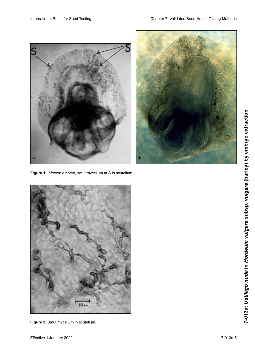



**Figure 1.** Infected embryo, smut mycelium at S in scutellum.



**Figure 2.** Smut mycelium in scutellum.